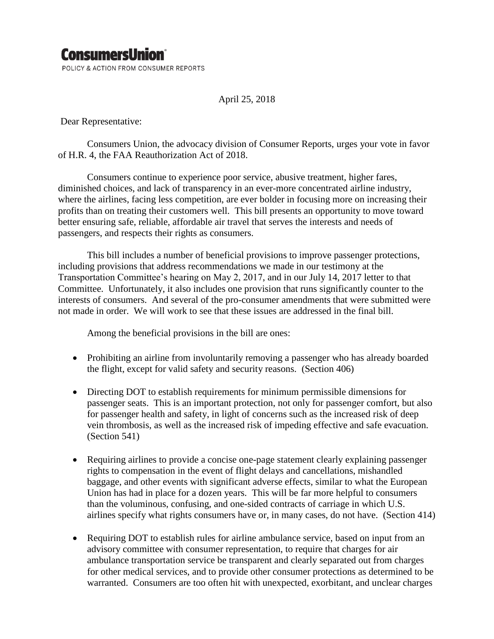## **ConsumersUnion**®

POLICY & ACTION FROM CONSUMER REPORTS

April 25, 2018

Dear Representative:

Consumers Union, the advocacy division of Consumer Reports, urges your vote in favor of H.R. 4, the FAA Reauthorization Act of 2018.

Consumers continue to experience poor service, abusive treatment, higher fares, diminished choices, and lack of transparency in an ever-more concentrated airline industry, where the airlines, facing less competition, are ever bolder in focusing more on increasing their profits than on treating their customers well. This bill presents an opportunity to move toward better ensuring safe, reliable, affordable air travel that serves the interests and needs of passengers, and respects their rights as consumers.

This bill includes a number of beneficial provisions to improve passenger protections, including provisions that address recommendations we made in our testimony at the Transportation Committee's hearing on May 2, 2017, and in our July 14, 2017 letter to that Committee. Unfortunately, it also includes one provision that runs significantly counter to the interests of consumers. And several of the pro-consumer amendments that were submitted were not made in order. We will work to see that these issues are addressed in the final bill.

Among the beneficial provisions in the bill are ones:

- Prohibiting an airline from involuntarily removing a passenger who has already boarded the flight, except for valid safety and security reasons. (Section 406)
- Directing DOT to establish requirements for minimum permissible dimensions for passenger seats. This is an important protection, not only for passenger comfort, but also for passenger health and safety, in light of concerns such as the increased risk of deep vein thrombosis, as well as the increased risk of impeding effective and safe evacuation. (Section 541)
- Requiring airlines to provide a concise one-page statement clearly explaining passenger rights to compensation in the event of flight delays and cancellations, mishandled baggage, and other events with significant adverse effects, similar to what the European Union has had in place for a dozen years. This will be far more helpful to consumers than the voluminous, confusing, and one-sided contracts of carriage in which U.S. airlines specify what rights consumers have or, in many cases, do not have. (Section 414)
- Requiring DOT to establish rules for airline ambulance service, based on input from an advisory committee with consumer representation, to require that charges for air ambulance transportation service be transparent and clearly separated out from charges for other medical services, and to provide other consumer protections as determined to be warranted. Consumers are too often hit with unexpected, exorbitant, and unclear charges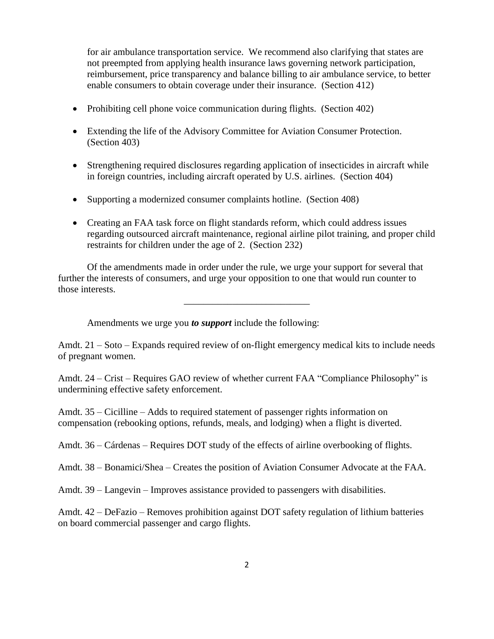for air ambulance transportation service. We recommend also clarifying that states are not preempted from applying health insurance laws governing network participation, reimbursement, price transparency and balance billing to air ambulance service, to better enable consumers to obtain coverage under their insurance. (Section 412)

- Prohibiting cell phone voice communication during flights. (Section 402)
- Extending the life of the Advisory Committee for Aviation Consumer Protection. (Section 403)
- Strengthening required disclosures regarding application of insecticides in aircraft while in foreign countries, including aircraft operated by U.S. airlines. (Section 404)
- Supporting a modernized consumer complaints hotline. (Section 408)
- Creating an FAA task force on flight standards reform, which could address issues regarding outsourced aircraft maintenance, regional airline pilot training, and proper child restraints for children under the age of 2. (Section 232)

Of the amendments made in order under the rule, we urge your support for several that further the interests of consumers, and urge your opposition to one that would run counter to those interests.

\_\_\_\_\_\_\_\_\_\_\_\_\_\_\_\_\_\_\_\_\_\_\_\_\_\_

Amendments we urge you *to support* include the following:

Amdt. 21 – Soto – Expands required review of on-flight emergency medical kits to include needs of pregnant women.

Amdt. 24 – Crist – Requires GAO review of whether current FAA "Compliance Philosophy" is undermining effective safety enforcement.

Amdt. 35 – Cicilline – Adds to required statement of passenger rights information on compensation (rebooking options, refunds, meals, and lodging) when a flight is diverted.

Amdt. 36 – Cárdenas – Requires DOT study of the effects of airline overbooking of flights.

Amdt. 38 – Bonamici/Shea – Creates the position of Aviation Consumer Advocate at the FAA.

Amdt. 39 – Langevin – Improves assistance provided to passengers with disabilities.

Amdt. 42 – DeFazio – Removes prohibition against DOT safety regulation of lithium batteries on board commercial passenger and cargo flights.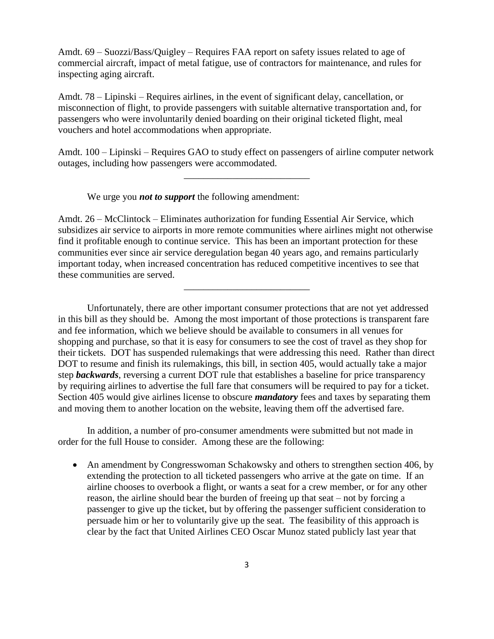Amdt. 69 – Suozzi/Bass/Quigley – Requires FAA report on safety issues related to age of commercial aircraft, impact of metal fatigue, use of contractors for maintenance, and rules for inspecting aging aircraft.

Amdt. 78 – Lipinski – Requires airlines, in the event of significant delay, cancellation, or misconnection of flight, to provide passengers with suitable alternative transportation and, for passengers who were involuntarily denied boarding on their original ticketed flight, meal vouchers and hotel accommodations when appropriate.

Amdt. 100 – Lipinski – Requires GAO to study effect on passengers of airline computer network outages, including how passengers were accommodated.

\_\_\_\_\_\_\_\_\_\_\_\_\_\_\_\_\_\_\_\_\_\_\_\_\_\_

We urge you *not to support* the following amendment:

Amdt. 26 – McClintock – Eliminates authorization for funding Essential Air Service, which subsidizes air service to airports in more remote communities where airlines might not otherwise find it profitable enough to continue service. This has been an important protection for these communities ever since air service deregulation began 40 years ago, and remains particularly important today, when increased concentration has reduced competitive incentives to see that these communities are served.

\_\_\_\_\_\_\_\_\_\_\_\_\_\_\_\_\_\_\_\_\_\_\_\_\_\_

Unfortunately, there are other important consumer protections that are not yet addressed in this bill as they should be. Among the most important of those protections is transparent fare and fee information, which we believe should be available to consumers in all venues for shopping and purchase, so that it is easy for consumers to see the cost of travel as they shop for their tickets. DOT has suspended rulemakings that were addressing this need. Rather than direct DOT to resume and finish its rulemakings, this bill, in section 405, would actually take a major step *backwards*, reversing a current DOT rule that establishes a baseline for price transparency by requiring airlines to advertise the full fare that consumers will be required to pay for a ticket. Section 405 would give airlines license to obscure *mandatory* fees and taxes by separating them and moving them to another location on the website, leaving them off the advertised fare.

In addition, a number of pro-consumer amendments were submitted but not made in order for the full House to consider. Among these are the following:

• An amendment by Congresswoman Schakowsky and others to strengthen section 406, by extending the protection to all ticketed passengers who arrive at the gate on time. If an airline chooses to overbook a flight, or wants a seat for a crew member, or for any other reason, the airline should bear the burden of freeing up that seat – not by forcing a passenger to give up the ticket, but by offering the passenger sufficient consideration to persuade him or her to voluntarily give up the seat. The feasibility of this approach is clear by the fact that United Airlines CEO Oscar Munoz stated publicly last year that